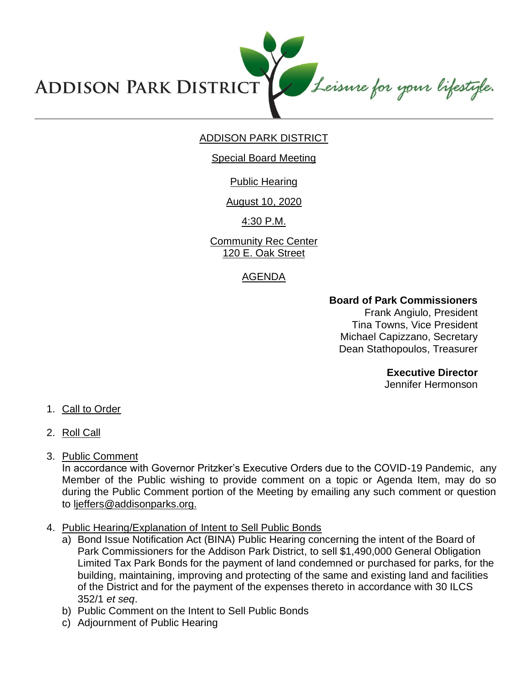Leisure for your lifestyle. **ADDISON PARK DISTRICT** 

# ADDISON PARK DISTRICT

### Special Board Meeting

# Public Hearing

# August 10, 2020

4:30 P.M.

Community Rec Center 120 E. Oak Street

# AGENDA

# **Board of Park Commissioners**

Frank Angiulo, President Tina Towns, Vice President Michael Capizzano, Secretary Dean Stathopoulos, Treasurer

**Executive Director**

Jennifer Hermonson

- 1. Call to Order
- 2. Roll Call
- 3. Public Comment

In accordance with Governor Pritzker's Executive Orders due to the COVID-19 Pandemic, any Member of the Public wishing to provide comment on a topic or Agenda Item, may do so during the Public Comment portion of the Meeting by emailing any such comment or question to ljeffers@addisonparks.org.

- 4. Public Hearing/Explanation of Intent to Sell Public Bonds
	- a) Bond Issue Notification Act (BINA) Public Hearing concerning the intent of the Board of Park Commissioners for the Addison Park District, to sell \$1,490,000 General Obligation Limited Tax Park Bonds for the payment of land condemned or purchased for parks, for the building, maintaining, improving and protecting of the same and existing land and facilities of the District and for the payment of the expenses thereto in accordance with 30 ILCS 352/1 *et seq*.
	- b) Public Comment on the Intent to Sell Public Bonds
	- c) Adjournment of Public Hearing